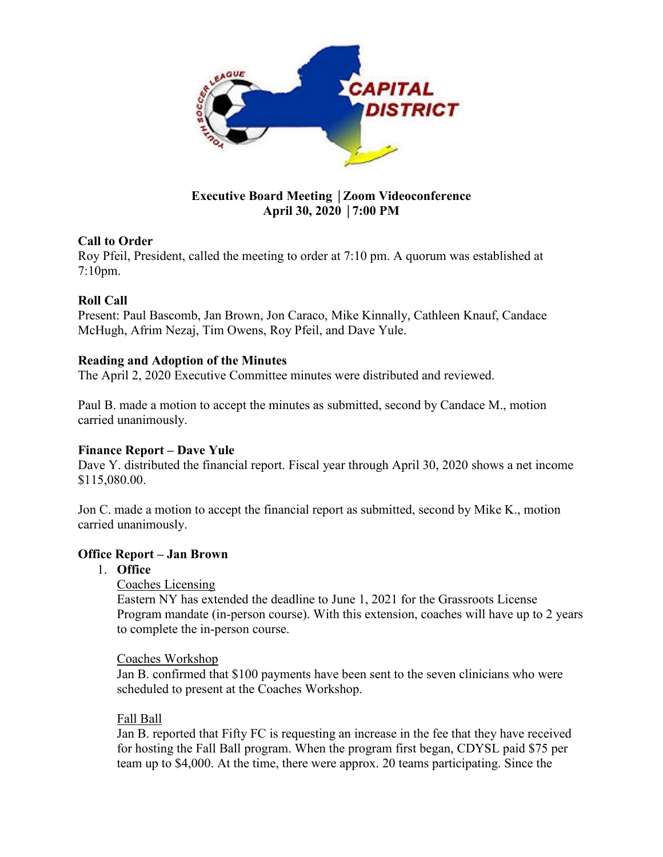

## **Executive Board Meeting** │**Zoom Videoconference April 30, 2020** │**7:00 PM**

## **Call to Order**

Roy Pfeil, President, called the meeting to order at 7:10 pm. A quorum was established at 7:10pm.

# **Roll Call**

Present: Paul Bascomb, Jan Brown, Jon Caraco, Mike Kinnally, Cathleen Knauf, Candace McHugh, Afrim Nezaj, Tim Owens, Roy Pfeil, and Dave Yule.

## **Reading and Adoption of the Minutes**

The April 2, 2020 Executive Committee minutes were distributed and reviewed.

Paul B. made a motion to accept the minutes as submitted, second by Candace M., motion carried unanimously.

## **Finance Report – Dave Yule**

Dave Y. distributed the financial report. Fiscal year through April 30, 2020 shows a net income \$115,080.00.

Jon C. made a motion to accept the financial report as submitted, second by Mike K., motion carried unanimously.

## **Office Report – Jan Brown**

- 1. **Office**
	- Coaches Licensing

Eastern NY has extended the deadline to June 1, 2021 for the Grassroots License Program mandate (in-person course). With this extension, coaches will have up to 2 years to complete the in-person course.

## Coaches Workshop

Jan B. confirmed that \$100 payments have been sent to the seven clinicians who were scheduled to present at the Coaches Workshop.

## Fall Ball

Jan B. reported that Fifty FC is requesting an increase in the fee that they have received for hosting the Fall Ball program. When the program first began, CDYSL paid \$75 per team up to \$4,000. At the time, there were approx. 20 teams participating. Since the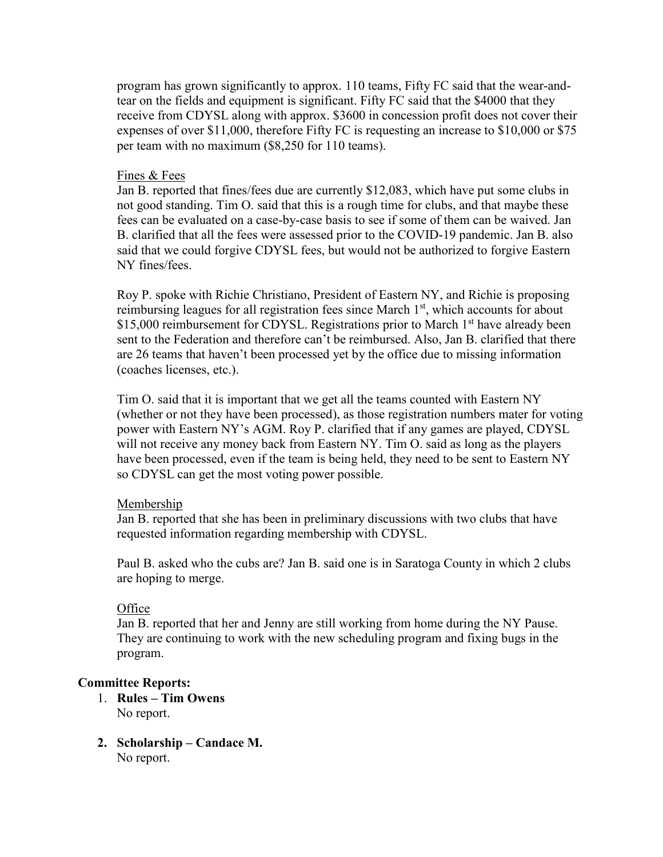program has grown significantly to approx. 110 teams, Fifty FC said that the wear-andtear on the fields and equipment is significant. Fifty FC said that the \$4000 that they receive from CDYSL along with approx. \$3600 in concession profit does not cover their expenses of over \$11,000, therefore Fifty FC is requesting an increase to \$10,000 or \$75 per team with no maximum (\$8,250 for 110 teams).

#### Fines & Fees

Jan B. reported that fines/fees due are currently \$12,083, which have put some clubs in not good standing. Tim O. said that this is a rough time for clubs, and that maybe these fees can be evaluated on a case-by-case basis to see if some of them can be waived. Jan B. clarified that all the fees were assessed prior to the COVID-19 pandemic. Jan B. also said that we could forgive CDYSL fees, but would not be authorized to forgive Eastern NY fines/fees.

Roy P. spoke with Richie Christiano, President of Eastern NY, and Richie is proposing reimbursing leagues for all registration fees since March  $1<sup>st</sup>$ , which accounts for about \$15,000 reimbursement for CDYSL. Registrations prior to March 1<sup>st</sup> have already been sent to the Federation and therefore can't be reimbursed. Also, Jan B. clarified that there are 26 teams that haven't been processed yet by the office due to missing information (coaches licenses, etc.).

Tim O. said that it is important that we get all the teams counted with Eastern NY (whether or not they have been processed), as those registration numbers mater for voting power with Eastern NY's AGM. Roy P. clarified that if any games are played, CDYSL will not receive any money back from Eastern NY. Tim O. said as long as the players have been processed, even if the team is being held, they need to be sent to Eastern NY so CDYSL can get the most voting power possible.

#### Membership

Jan B. reported that she has been in preliminary discussions with two clubs that have requested information regarding membership with CDYSL.

Paul B. asked who the cubs are? Jan B. said one is in Saratoga County in which 2 clubs are hoping to merge.

#### **Office**

Jan B. reported that her and Jenny are still working from home during the NY Pause. They are continuing to work with the new scheduling program and fixing bugs in the program.

#### **Committee Reports:**

- 1. **Rules – Tim Owens** No report.
- **2. Scholarship – Candace M.** No report.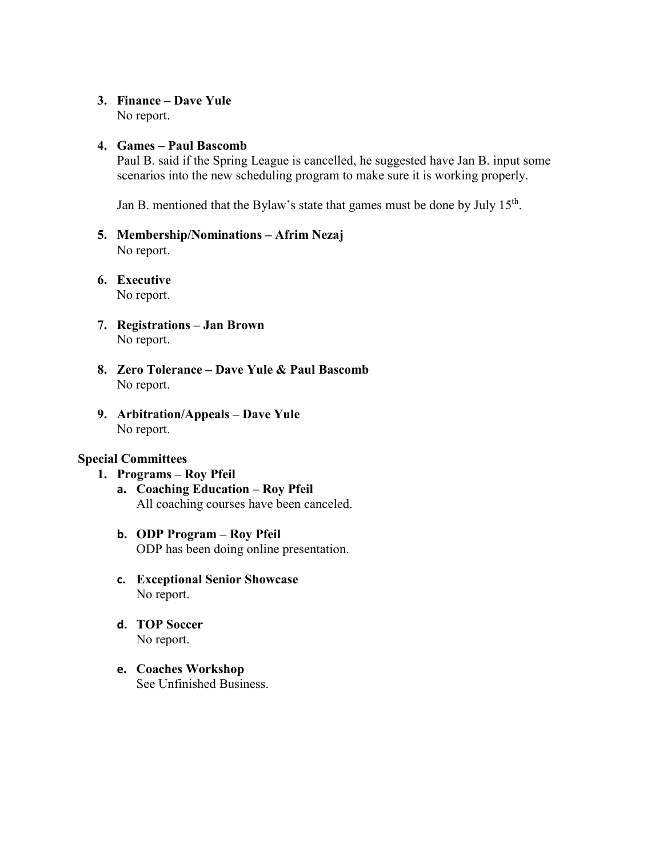## **3. Finance – Dave Yule**

No report.

### **4. Games – Paul Bascomb**

Paul B. said if the Spring League is cancelled, he suggested have Jan B. input some scenarios into the new scheduling program to make sure it is working properly.

Jan B. mentioned that the Bylaw's state that games must be done by July 15<sup>th</sup>.

- **5. Membership/Nominations – Afrim Nezaj** No report.
- **6. Executive**  No report.
- **7. Registrations – Jan Brown** No report.
- **8. Zero Tolerance – Dave Yule & Paul Bascomb**  No report.
- **9. Arbitration/Appeals – Dave Yule** No report.

### **Special Committees**

- **1. Programs – Roy Pfeil**
	- **a. Coaching Education – Roy Pfeil** All coaching courses have been canceled.
	- **b. ODP Program – Roy Pfeil** ODP has been doing online presentation.
	- **c. Exceptional Senior Showcase** No report.
	- **d. TOP Soccer** No report.
	- **e. Coaches Workshop** See Unfinished Business.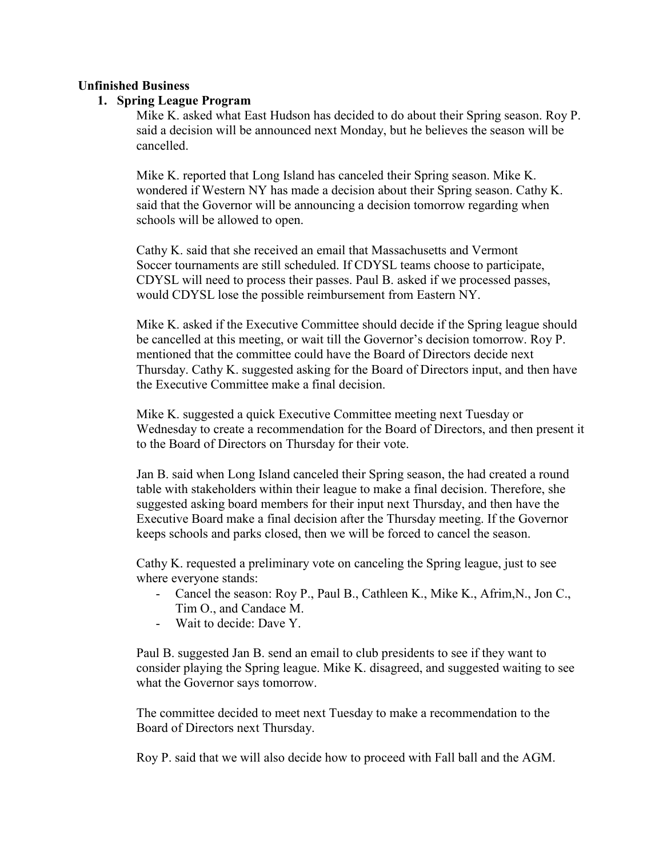### **Unfinished Business**

### **1. Spring League Program**

Mike K. asked what East Hudson has decided to do about their Spring season. Roy P. said a decision will be announced next Monday, but he believes the season will be cancelled.

Mike K. reported that Long Island has canceled their Spring season. Mike K. wondered if Western NY has made a decision about their Spring season. Cathy K. said that the Governor will be announcing a decision tomorrow regarding when schools will be allowed to open.

Cathy K. said that she received an email that Massachusetts and Vermont Soccer tournaments are still scheduled. If CDYSL teams choose to participate, CDYSL will need to process their passes. Paul B. asked if we processed passes, would CDYSL lose the possible reimbursement from Eastern NY.

Mike K. asked if the Executive Committee should decide if the Spring league should be cancelled at this meeting, or wait till the Governor's decision tomorrow. Roy P. mentioned that the committee could have the Board of Directors decide next Thursday. Cathy K. suggested asking for the Board of Directors input, and then have the Executive Committee make a final decision.

Mike K. suggested a quick Executive Committee meeting next Tuesday or Wednesday to create a recommendation for the Board of Directors, and then present it to the Board of Directors on Thursday for their vote.

Jan B. said when Long Island canceled their Spring season, the had created a round table with stakeholders within their league to make a final decision. Therefore, she suggested asking board members for their input next Thursday, and then have the Executive Board make a final decision after the Thursday meeting. If the Governor keeps schools and parks closed, then we will be forced to cancel the season.

Cathy K. requested a preliminary vote on canceling the Spring league, just to see where everyone stands:

- Cancel the season: Roy P., Paul B., Cathleen K., Mike K., Afrim,N., Jon C., Tim O., and Candace M.
- Wait to decide: Dave Y.

Paul B. suggested Jan B. send an email to club presidents to see if they want to consider playing the Spring league. Mike K. disagreed, and suggested waiting to see what the Governor says tomorrow.

The committee decided to meet next Tuesday to make a recommendation to the Board of Directors next Thursday.

Roy P. said that we will also decide how to proceed with Fall ball and the AGM.